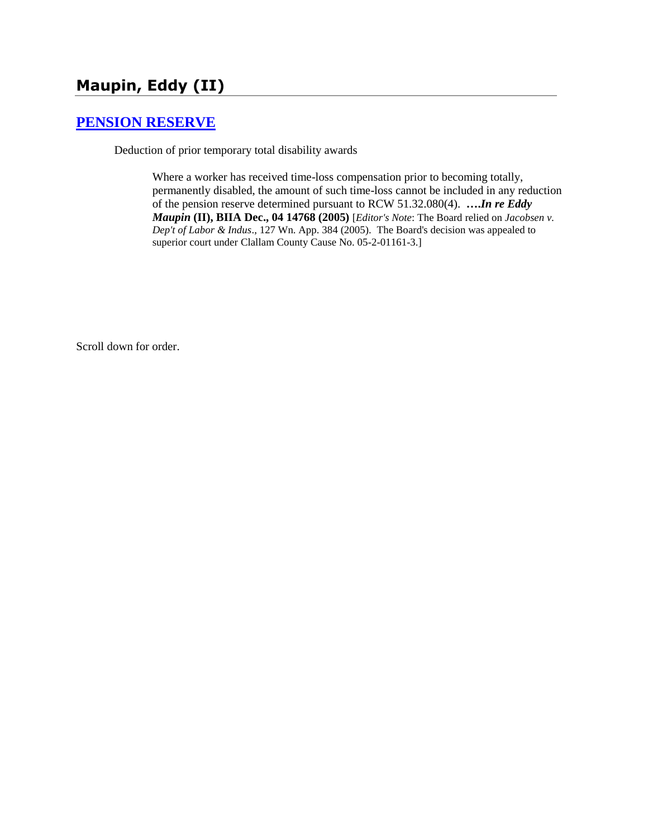# **Maupin, Eddy (II)**

### **[PENSION RESERVE](http://www.biia.wa.gov/SDSubjectIndex.html#PENSION_RESERVE)**

Deduction of prior temporary total disability awards

Where a worker has received time-loss compensation prior to becoming totally, permanently disabled, the amount of such time-loss cannot be included in any reduction of the pension reserve determined pursuant to RCW 51.32.080(4). **….***In re Eddy Maupin* **(II), BIIA Dec., 04 14768 (2005)** [*Editor's Note*: The Board relied on *Jacobsen v. Dep't of Labor & Indus*., 127 Wn. App. 384 (2005). The Board's decision was appealed to superior court under Clallam County Cause No. 05-2-01161-3.]

Scroll down for order.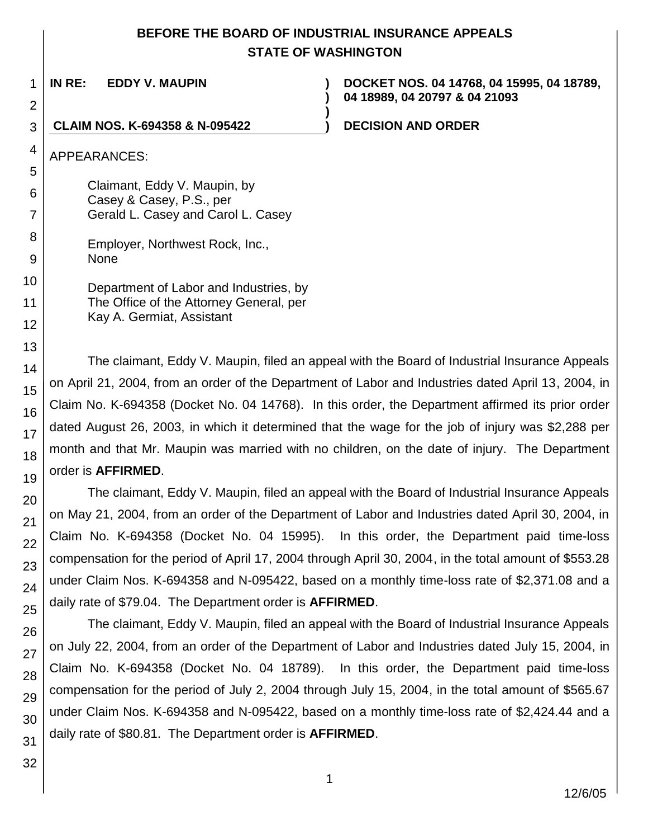## **BEFORE THE BOARD OF INDUSTRIAL INSURANCE APPEALS STATE OF WASHINGTON**

**)**

**)**

**IN RE: EDDY V. MAUPIN )**

**DOCKET NOS. 04 14768, 04 15995, 04 18789, 04 18989, 04 20797 & 04 21093**

### **CLAIM NOS. K-694358 & N-095422 ) DECISION AND ORDER**

APPEARANCES:

Claimant, Eddy V. Maupin, by Casey & Casey, P.S., per Gerald L. Casey and Carol L. Casey

> Employer, Northwest Rock, Inc., None

Department of Labor and Industries, by The Office of the Attorney General, per Kay A. Germiat, Assistant

The claimant, Eddy V. Maupin, filed an appeal with the Board of Industrial Insurance Appeals on April 21, 2004, from an order of the Department of Labor and Industries dated April 13, 2004, in Claim No. K-694358 (Docket No. 04 14768). In this order, the Department affirmed its prior order dated August 26, 2003, in which it determined that the wage for the job of injury was \$2,288 per month and that Mr. Maupin was married with no children, on the date of injury. The Department order is **AFFIRMED**.

The claimant, Eddy V. Maupin, filed an appeal with the Board of Industrial Insurance Appeals on May 21, 2004, from an order of the Department of Labor and Industries dated April 30, 2004, in Claim No. K-694358 (Docket No. 04 15995). In this order, the Department paid time-loss compensation for the period of April 17, 2004 through April 30, 2004, in the total amount of \$553.28 under Claim Nos. K-694358 and N-095422, based on a monthly time-loss rate of \$2,371.08 and a daily rate of \$79.04. The Department order is **AFFIRMED**.

The claimant, Eddy V. Maupin, filed an appeal with the Board of Industrial Insurance Appeals on July 22, 2004, from an order of the Department of Labor and Industries dated July 15, 2004, in Claim No. K-694358 (Docket No. 04 18789). In this order, the Department paid time-loss compensation for the period of July 2, 2004 through July 15, 2004, in the total amount of \$565.67 under Claim Nos. K-694358 and N-095422, based on a monthly time-loss rate of \$2,424.44 and a daily rate of \$80.81. The Department order is **AFFIRMED**.

1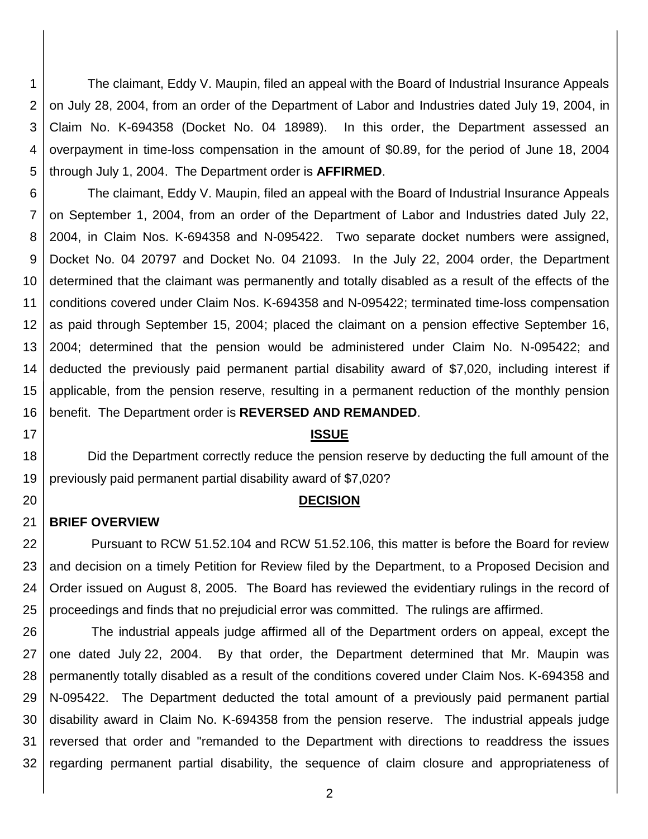1 2 3 4 5 The claimant, Eddy V. Maupin, filed an appeal with the Board of Industrial Insurance Appeals on July 28, 2004, from an order of the Department of Labor and Industries dated July 19, 2004, in Claim No. K-694358 (Docket No. 04 18989). In this order, the Department assessed an overpayment in time-loss compensation in the amount of \$0.89, for the period of June 18, 2004 through July 1, 2004. The Department order is **AFFIRMED**.

6 7 8 9 10 11 12 13 14 15 16 The claimant, Eddy V. Maupin, filed an appeal with the Board of Industrial Insurance Appeals on September 1, 2004, from an order of the Department of Labor and Industries dated July 22, 2004, in Claim Nos. K-694358 and N-095422. Two separate docket numbers were assigned, Docket No. 04 20797 and Docket No. 04 21093. In the July 22, 2004 order, the Department determined that the claimant was permanently and totally disabled as a result of the effects of the conditions covered under Claim Nos. K-694358 and N-095422; terminated time-loss compensation as paid through September 15, 2004; placed the claimant on a pension effective September 16, 2004; determined that the pension would be administered under Claim No. N-095422; and deducted the previously paid permanent partial disability award of \$7,020, including interest if applicable, from the pension reserve, resulting in a permanent reduction of the monthly pension benefit. The Department order is **REVERSED AND REMANDED**.

### **ISSUE**

18 19 Did the Department correctly reduce the pension reserve by deducting the full amount of the previously paid permanent partial disability award of \$7,020?

### **DECISION**

#### 21 **BRIEF OVERVIEW**

17

20

22 23 24 25 Pursuant to RCW 51.52.104 and RCW 51.52.106, this matter is before the Board for review and decision on a timely Petition for Review filed by the Department, to a Proposed Decision and Order issued on August 8, 2005. The Board has reviewed the evidentiary rulings in the record of proceedings and finds that no prejudicial error was committed. The rulings are affirmed.

26 27 28 29 30 31 32 The industrial appeals judge affirmed all of the Department orders on appeal, except the one dated July 22, 2004. By that order, the Department determined that Mr. Maupin was permanently totally disabled as a result of the conditions covered under Claim Nos. K-694358 and N-095422. The Department deducted the total amount of a previously paid permanent partial disability award in Claim No. K-694358 from the pension reserve. The industrial appeals judge reversed that order and "remanded to the Department with directions to readdress the issues regarding permanent partial disability, the sequence of claim closure and appropriateness of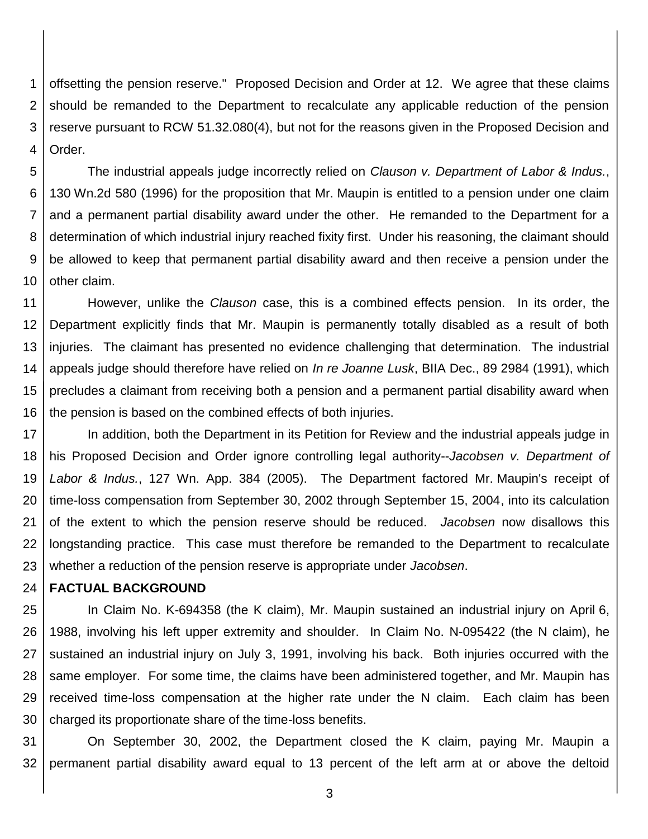1 2 3 4 offsetting the pension reserve." Proposed Decision and Order at 12. We agree that these claims should be remanded to the Department to recalculate any applicable reduction of the pension reserve pursuant to RCW 51.32.080(4), but not for the reasons given in the Proposed Decision and Order.

5 6 7 8 9 10 The industrial appeals judge incorrectly relied on *Clauson v. Department of Labor & Indus.*, 130 Wn.2d 580 (1996) for the proposition that Mr. Maupin is entitled to a pension under one claim and a permanent partial disability award under the other. He remanded to the Department for a determination of which industrial injury reached fixity first. Under his reasoning, the claimant should be allowed to keep that permanent partial disability award and then receive a pension under the other claim.

11 12 13 14 15 16 However, unlike the *Clauson* case, this is a combined effects pension. In its order, the Department explicitly finds that Mr. Maupin is permanently totally disabled as a result of both injuries. The claimant has presented no evidence challenging that determination. The industrial appeals judge should therefore have relied on *In re Joanne Lusk*, BIIA Dec., 89 2984 (1991), which precludes a claimant from receiving both a pension and a permanent partial disability award when the pension is based on the combined effects of both injuries.

17 18 19 20 21 22 23 In addition, both the Department in its Petition for Review and the industrial appeals judge in his Proposed Decision and Order ignore controlling legal authority--*Jacobsen v. Department of Labor & Indus.*, 127 Wn. App. 384 (2005). The Department factored Mr. Maupin's receipt of time-loss compensation from September 30, 2002 through September 15, 2004, into its calculation of the extent to which the pension reserve should be reduced. *Jacobsen* now disallows this longstanding practice. This case must therefore be remanded to the Department to recalculate whether a reduction of the pension reserve is appropriate under *Jacobsen*.

#### 24 **FACTUAL BACKGROUND**

25 26 27 28 29 30 In Claim No. K-694358 (the K claim), Mr. Maupin sustained an industrial injury on April 6, 1988, involving his left upper extremity and shoulder. In Claim No. N-095422 (the N claim), he sustained an industrial injury on July 3, 1991, involving his back. Both injuries occurred with the same employer. For some time, the claims have been administered together, and Mr. Maupin has received time-loss compensation at the higher rate under the N claim. Each claim has been charged its proportionate share of the time-loss benefits.

31 32 On September 30, 2002, the Department closed the K claim, paying Mr. Maupin a permanent partial disability award equal to 13 percent of the left arm at or above the deltoid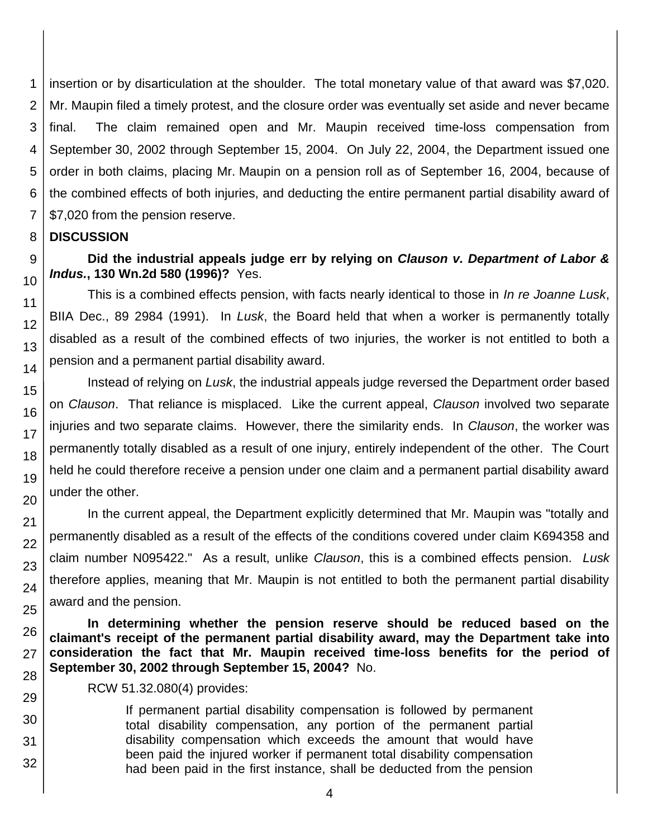1 2 3 4 5 6 7 insertion or by disarticulation at the shoulder. The total monetary value of that award was \$7,020. Mr. Maupin filed a timely protest, and the closure order was eventually set aside and never became final. The claim remained open and Mr. Maupin received time-loss compensation from September 30, 2002 through September 15, 2004. On July 22, 2004, the Department issued one order in both claims, placing Mr. Maupin on a pension roll as of September 16, 2004, because of the combined effects of both injuries, and deducting the entire permanent partial disability award of \$7,020 from the pension reserve.

#### 8 **DISCUSSION**

9

10

11 12

13

14

15

16

17

18

19

20

21 22

23

24

25

26 27

28

29 30

31

32

### **Did the industrial appeals judge err by relying on** *Clauson v. Department of Labor & Indus.***, 130 Wn.2d 580 (1996)?** Yes.

This is a combined effects pension, with facts nearly identical to those in *In re Joanne Lusk*, BIIA Dec., 89 2984 (1991). In *Lusk*, the Board held that when a worker is permanently totally disabled as a result of the combined effects of two injuries, the worker is not entitled to both a pension and a permanent partial disability award.

Instead of relying on *Lusk*, the industrial appeals judge reversed the Department order based on *Clauson*. That reliance is misplaced. Like the current appeal, *Clauson* involved two separate injuries and two separate claims. However, there the similarity ends. In *Clauson*, the worker was permanently totally disabled as a result of one injury, entirely independent of the other. The Court held he could therefore receive a pension under one claim and a permanent partial disability award under the other.

In the current appeal, the Department explicitly determined that Mr. Maupin was "totally and permanently disabled as a result of the effects of the conditions covered under claim K694358 and claim number N095422." As a result, unlike *Clauson*, this is a combined effects pension. *Lusk* therefore applies, meaning that Mr. Maupin is not entitled to both the permanent partial disability award and the pension.

**In determining whether the pension reserve should be reduced based on the claimant's receipt of the permanent partial disability award, may the Department take into consideration the fact that Mr. Maupin received time-loss benefits for the period of September 30, 2002 through September 15, 2004?** No.

RCW 51.32.080(4) provides:

If permanent partial disability compensation is followed by permanent total disability compensation, any portion of the permanent partial disability compensation which exceeds the amount that would have been paid the injured worker if permanent total disability compensation had been paid in the first instance, shall be deducted from the pension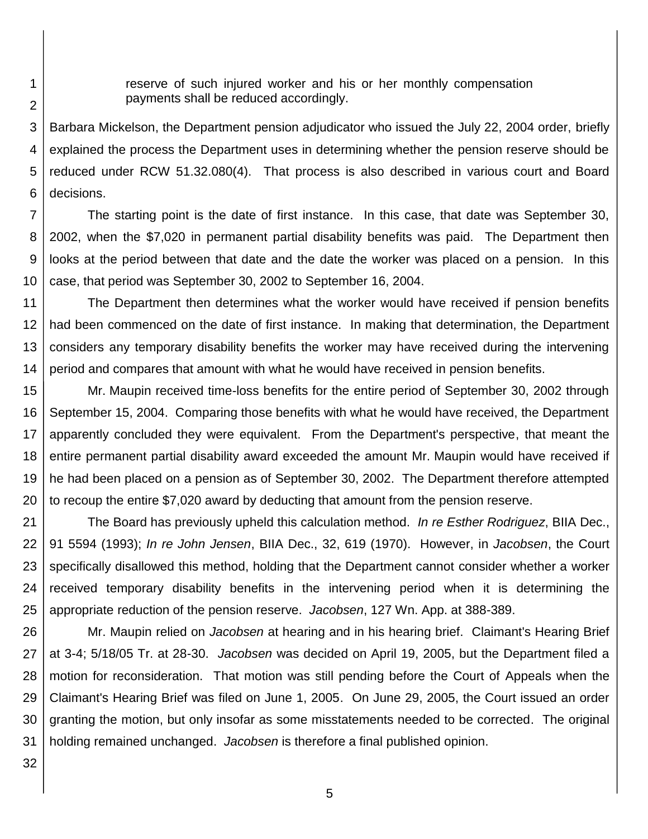reserve of such injured worker and his or her monthly compensation payments shall be reduced accordingly.

3 4 5 6 Barbara Mickelson, the Department pension adjudicator who issued the July 22, 2004 order, briefly explained the process the Department uses in determining whether the pension reserve should be reduced under RCW 51.32.080(4). That process is also described in various court and Board decisions.

7 8 9 10 The starting point is the date of first instance. In this case, that date was September 30, 2002, when the \$7,020 in permanent partial disability benefits was paid. The Department then looks at the period between that date and the date the worker was placed on a pension. In this case, that period was September 30, 2002 to September 16, 2004.

11 12 13 14 The Department then determines what the worker would have received if pension benefits had been commenced on the date of first instance. In making that determination, the Department considers any temporary disability benefits the worker may have received during the intervening period and compares that amount with what he would have received in pension benefits.

15 16 17 18 19 20 Mr. Maupin received time-loss benefits for the entire period of September 30, 2002 through September 15, 2004. Comparing those benefits with what he would have received, the Department apparently concluded they were equivalent. From the Department's perspective, that meant the entire permanent partial disability award exceeded the amount Mr. Maupin would have received if he had been placed on a pension as of September 30, 2002. The Department therefore attempted to recoup the entire \$7,020 award by deducting that amount from the pension reserve.

21 22 23 24 25 The Board has previously upheld this calculation method. *In re Esther Rodriguez*, BIIA Dec., 91 5594 (1993); *In re John Jensen*, BIIA Dec., 32, 619 (1970). However, in *Jacobsen*, the Court specifically disallowed this method, holding that the Department cannot consider whether a worker received temporary disability benefits in the intervening period when it is determining the appropriate reduction of the pension reserve. *Jacobsen*, 127 Wn. App. at 388-389.

26 27 28 29 30 31 Mr. Maupin relied on *Jacobsen* at hearing and in his hearing brief. Claimant's Hearing Brief at 3-4; 5/18/05 Tr. at 28-30. *Jacobsen* was decided on April 19, 2005, but the Department filed a motion for reconsideration. That motion was still pending before the Court of Appeals when the Claimant's Hearing Brief was filed on June 1, 2005. On June 29, 2005, the Court issued an order granting the motion, but only insofar as some misstatements needed to be corrected. The original holding remained unchanged. *Jacobsen* is therefore a final published opinion.

32

1

2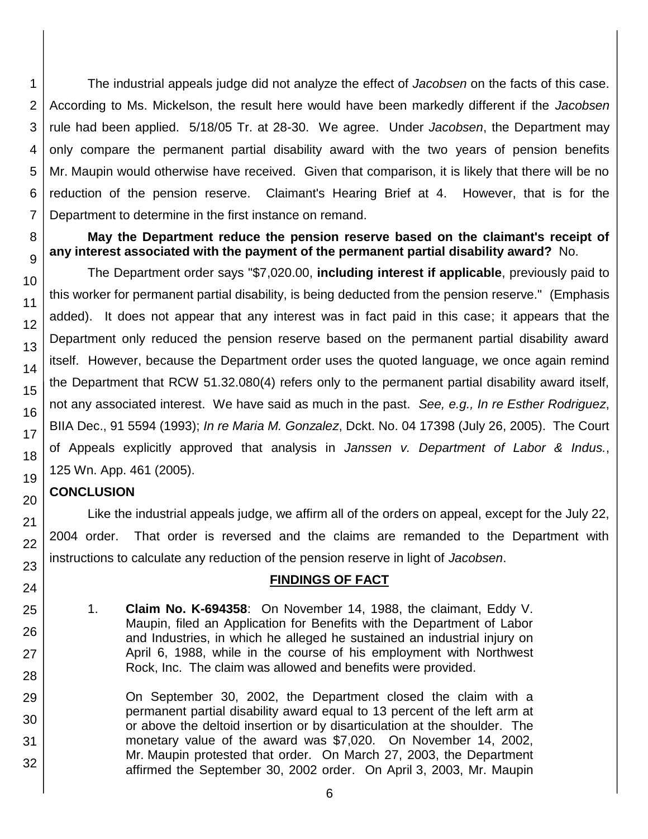1 2 3 4 5 6 7 The industrial appeals judge did not analyze the effect of *Jacobsen* on the facts of this case. According to Ms. Mickelson, the result here would have been markedly different if the *Jacobsen* rule had been applied. 5/18/05 Tr. at 28-30. We agree. Under *Jacobsen*, the Department may only compare the permanent partial disability award with the two years of pension benefits Mr. Maupin would otherwise have received. Given that comparison, it is likely that there will be no reduction of the pension reserve. Claimant's Hearing Brief at 4. However, that is for the Department to determine in the first instance on remand.

### **May the Department reduce the pension reserve based on the claimant's receipt of any interest associated with the payment of the permanent partial disability award?** No.

The Department order says "\$7,020.00, **including interest if applicable**, previously paid to this worker for permanent partial disability, is being deducted from the pension reserve." (Emphasis added). It does not appear that any interest was in fact paid in this case; it appears that the Department only reduced the pension reserve based on the permanent partial disability award itself. However, because the Department order uses the quoted language, we once again remind the Department that RCW 51.32.080(4) refers only to the permanent partial disability award itself, not any associated interest. We have said as much in the past. *See, e.g., In re Esther Rodriguez*, BIIA Dec., 91 5594 (1993); *In re Maria M. Gonzalez*, Dckt. No. 04 17398 (July 26, 2005). The Court of Appeals explicitly approved that analysis in *Janssen v. Department of Labor & Indus.*, 125 Wn. App. 461 (2005).

## **CONCLUSION**

Like the industrial appeals judge, we affirm all of the orders on appeal, except for the July 22, 2004 order. That order is reversed and the claims are remanded to the Department with instructions to calculate any reduction of the pension reserve in light of *Jacobsen*.

### **FINDINGS OF FACT**

1. **Claim No. K-694358**: On November 14, 1988, the claimant, Eddy V. Maupin, filed an Application for Benefits with the Department of Labor and Industries, in which he alleged he sustained an industrial injury on April 6, 1988, while in the course of his employment with Northwest Rock, Inc. The claim was allowed and benefits were provided.

On September 30, 2002, the Department closed the claim with a permanent partial disability award equal to 13 percent of the left arm at or above the deltoid insertion or by disarticulation at the shoulder. The monetary value of the award was \$7,020. On November 14, 2002, Mr. Maupin protested that order. On March 27, 2003, the Department affirmed the September 30, 2002 order. On April 3, 2003, Mr. Maupin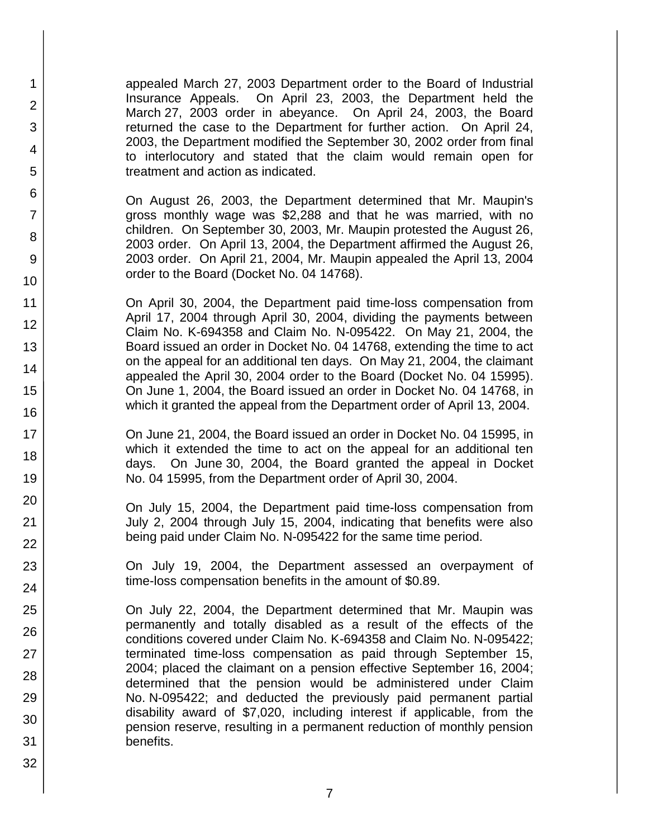appealed March 27, 2003 Department order to the Board of Industrial Insurance Appeals. On April 23, 2003, the Department held the March 27, 2003 order in abeyance. On April 24, 2003, the Board returned the case to the Department for further action. On April 24, 2003, the Department modified the September 30, 2002 order from final to interlocutory and stated that the claim would remain open for treatment and action as indicated.

1

2

3

4

5

6

7

8

9

10

11

12

13

14

15

16

17

18

19

20

21

22

23

24

25

26

27

28

29

30

31

32

On August 26, 2003, the Department determined that Mr. Maupin's gross monthly wage was \$2,288 and that he was married, with no children. On September 30, 2003, Mr. Maupin protested the August 26, 2003 order. On April 13, 2004, the Department affirmed the August 26, 2003 order. On April 21, 2004, Mr. Maupin appealed the April 13, 2004 order to the Board (Docket No. 04 14768).

On April 30, 2004, the Department paid time-loss compensation from April 17, 2004 through April 30, 2004, dividing the payments between Claim No. K-694358 and Claim No. N-095422. On May 21, 2004, the Board issued an order in Docket No. 04 14768, extending the time to act on the appeal for an additional ten days. On May 21, 2004, the claimant appealed the April 30, 2004 order to the Board (Docket No. 04 15995). On June 1, 2004, the Board issued an order in Docket No. 04 14768, in which it granted the appeal from the Department order of April 13, 2004.

On June 21, 2004, the Board issued an order in Docket No. 04 15995, in which it extended the time to act on the appeal for an additional ten days. On June 30, 2004, the Board granted the appeal in Docket No. 04 15995, from the Department order of April 30, 2004.

On July 15, 2004, the Department paid time-loss compensation from July 2, 2004 through July 15, 2004, indicating that benefits were also being paid under Claim No. N-095422 for the same time period.

On July 19, 2004, the Department assessed an overpayment of time-loss compensation benefits in the amount of \$0.89.

On July 22, 2004, the Department determined that Mr. Maupin was permanently and totally disabled as a result of the effects of the conditions covered under Claim No. K-694358 and Claim No. N-095422; terminated time-loss compensation as paid through September 15, 2004; placed the claimant on a pension effective September 16, 2004; determined that the pension would be administered under Claim No. N-095422; and deducted the previously paid permanent partial disability award of \$7,020, including interest if applicable, from the pension reserve, resulting in a permanent reduction of monthly pension benefits.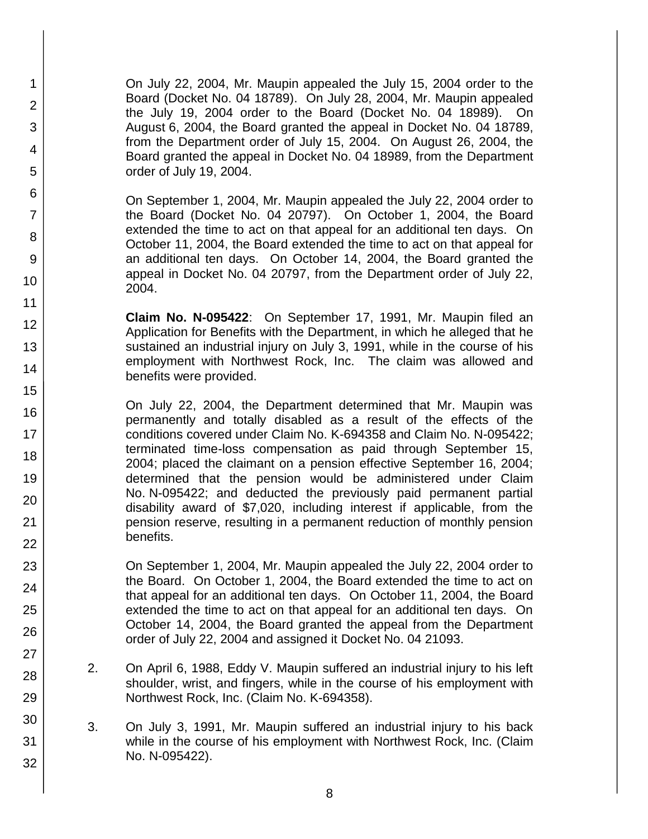On July 22, 2004, Mr. Maupin appealed the July 15, 2004 order to the Board (Docket No. 04 18789). On July 28, 2004, Mr. Maupin appealed the July 19, 2004 order to the Board (Docket No. 04 18989). On August 6, 2004, the Board granted the appeal in Docket No. 04 18789, from the Department order of July 15, 2004. On August 26, 2004, the Board granted the appeal in Docket No. 04 18989, from the Department order of July 19, 2004.

1

2

3

4

5

6

7

8

9

10

11 12

13

14

15

16

17

18

19

20

21

22

23

24

25

26

27

28

29

30

31

32

On September 1, 2004, Mr. Maupin appealed the July 22, 2004 order to the Board (Docket No. 04 20797). On October 1, 2004, the Board extended the time to act on that appeal for an additional ten days. On October 11, 2004, the Board extended the time to act on that appeal for an additional ten days. On October 14, 2004, the Board granted the appeal in Docket No. 04 20797, from the Department order of July 22, 2004.

**Claim No. N-095422**: On September 17, 1991, Mr. Maupin filed an Application for Benefits with the Department, in which he alleged that he sustained an industrial injury on July 3, 1991, while in the course of his employment with Northwest Rock, Inc. The claim was allowed and benefits were provided.

On July 22, 2004, the Department determined that Mr. Maupin was permanently and totally disabled as a result of the effects of the conditions covered under Claim No. K-694358 and Claim No. N-095422; terminated time-loss compensation as paid through September 15, 2004; placed the claimant on a pension effective September 16, 2004; determined that the pension would be administered under Claim No. N-095422; and deducted the previously paid permanent partial disability award of \$7,020, including interest if applicable, from the pension reserve, resulting in a permanent reduction of monthly pension benefits.

On September 1, 2004, Mr. Maupin appealed the July 22, 2004 order to the Board. On October 1, 2004, the Board extended the time to act on that appeal for an additional ten days. On October 11, 2004, the Board extended the time to act on that appeal for an additional ten days. On October 14, 2004, the Board granted the appeal from the Department order of July 22, 2004 and assigned it Docket No. 04 21093.

- 2. On April 6, 1988, Eddy V. Maupin suffered an industrial injury to his left shoulder, wrist, and fingers, while in the course of his employment with Northwest Rock, Inc. (Claim No. K-694358).
- 3. On July 3, 1991, Mr. Maupin suffered an industrial injury to his back while in the course of his employment with Northwest Rock, Inc. (Claim No. N-095422).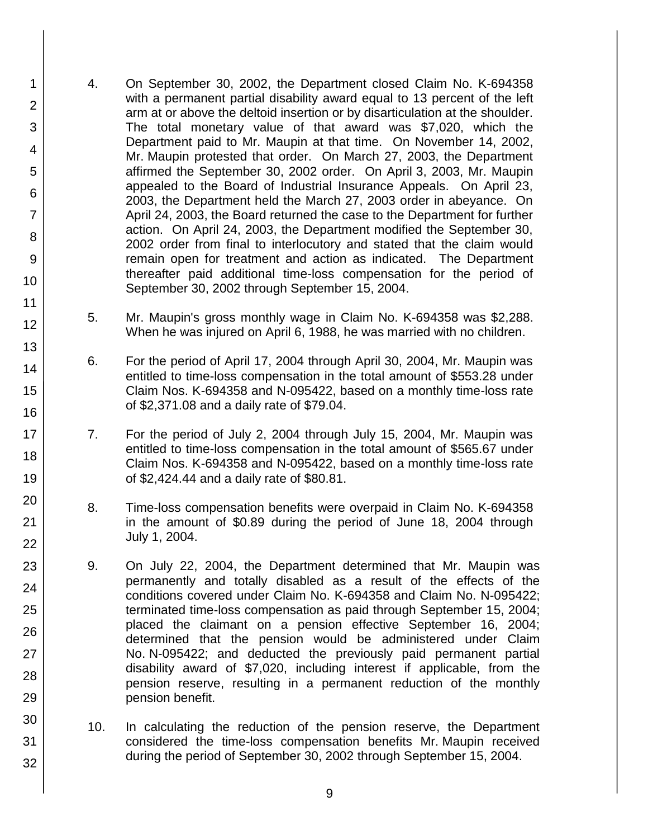4. On September 30, 2002, the Department closed Claim No. K-694358 with a permanent partial disability award equal to 13 percent of the left arm at or above the deltoid insertion or by disarticulation at the shoulder. The total monetary value of that award was \$7,020, which the Department paid to Mr. Maupin at that time. On November 14, 2002, Mr. Maupin protested that order. On March 27, 2003, the Department affirmed the September 30, 2002 order. On April 3, 2003, Mr. Maupin appealed to the Board of Industrial Insurance Appeals. On April 23, 2003, the Department held the March 27, 2003 order in abeyance. On April 24, 2003, the Board returned the case to the Department for further action. On April 24, 2003, the Department modified the September 30, 2002 order from final to interlocutory and stated that the claim would remain open for treatment and action as indicated. The Department thereafter paid additional time-loss compensation for the period of September 30, 2002 through September 15, 2004.

1

2

3

4

5

6

7

8

9

10

11 12

13

14

15

16

17

18

19

20

21

22

23

24

25

26

27

28

29

30

31

- 5. Mr. Maupin's gross monthly wage in Claim No. K-694358 was \$2,288. When he was injured on April 6, 1988, he was married with no children.
- 6. For the period of April 17, 2004 through April 30, 2004, Mr. Maupin was entitled to time-loss compensation in the total amount of \$553.28 under Claim Nos. K-694358 and N-095422, based on a monthly time-loss rate of \$2,371.08 and a daily rate of \$79.04.
- 7. For the period of July 2, 2004 through July 15, 2004, Mr. Maupin was entitled to time-loss compensation in the total amount of \$565.67 under Claim Nos. K-694358 and N-095422, based on a monthly time-loss rate of \$2,424.44 and a daily rate of \$80.81.
- 8. Time-loss compensation benefits were overpaid in Claim No. K-694358 in the amount of \$0.89 during the period of June 18, 2004 through July 1, 2004.
- 9. On July 22, 2004, the Department determined that Mr. Maupin was permanently and totally disabled as a result of the effects of the conditions covered under Claim No. K-694358 and Claim No. N-095422; terminated time-loss compensation as paid through September 15, 2004; placed the claimant on a pension effective September 16, 2004; determined that the pension would be administered under Claim No. N-095422; and deducted the previously paid permanent partial disability award of \$7,020, including interest if applicable, from the pension reserve, resulting in a permanent reduction of the monthly pension benefit.
- 10. In calculating the reduction of the pension reserve, the Department considered the time-loss compensation benefits Mr. Maupin received during the period of September 30, 2002 through September 15, 2004.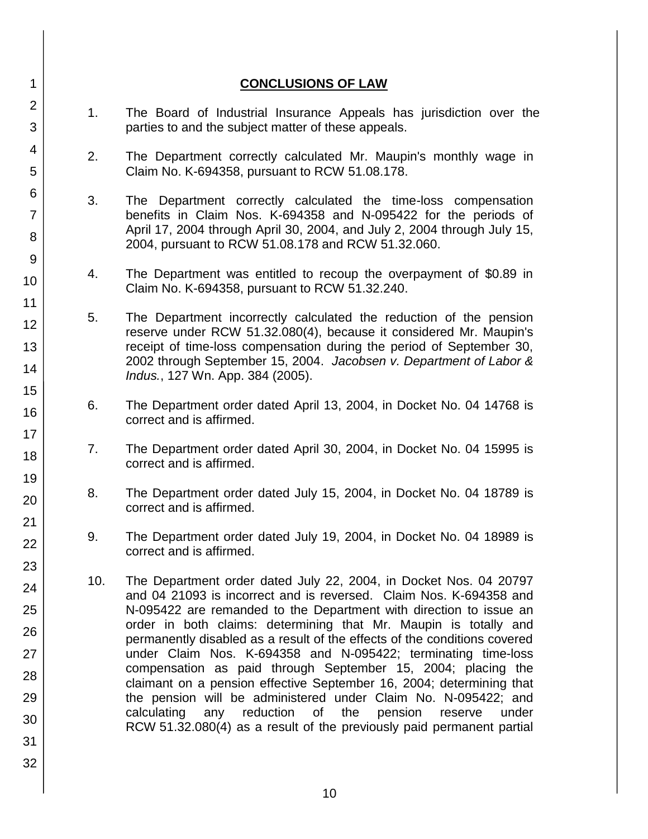### **CONCLUSIONS OF LAW**

- 1. The Board of Industrial Insurance Appeals has jurisdiction over the parties to and the subject matter of these appeals.
- 2. The Department correctly calculated Mr. Maupin's monthly wage in Claim No. K-694358, pursuant to RCW 51.08.178.
- 3. The Department correctly calculated the time-loss compensation benefits in Claim Nos. K-694358 and N-095422 for the periods of April 17, 2004 through April 30, 2004, and July 2, 2004 through July 15, 2004, pursuant to RCW 51.08.178 and RCW 51.32.060.
- 4. The Department was entitled to recoup the overpayment of \$0.89 in Claim No. K-694358, pursuant to RCW 51.32.240.
- 5. The Department incorrectly calculated the reduction of the pension reserve under RCW 51.32.080(4), because it considered Mr. Maupin's receipt of time-loss compensation during the period of September 30, 2002 through September 15, 2004. *Jacobsen v. Department of Labor & Indus.*, 127 Wn. App. 384 (2005).
- 6. The Department order dated April 13, 2004, in Docket No. 04 14768 is correct and is affirmed.
- 7. The Department order dated April 30, 2004, in Docket No. 04 15995 is correct and is affirmed.
- 8. The Department order dated July 15, 2004, in Docket No. 04 18789 is correct and is affirmed.
- 9. The Department order dated July 19, 2004, in Docket No. 04 18989 is correct and is affirmed.
- 10. The Department order dated July 22, 2004, in Docket Nos. 04 20797 and 04 21093 is incorrect and is reversed. Claim Nos. K-694358 and N-095422 are remanded to the Department with direction to issue an order in both claims: determining that Mr. Maupin is totally and permanently disabled as a result of the effects of the conditions covered under Claim Nos. K-694358 and N-095422; terminating time-loss compensation as paid through September 15, 2004; placing the claimant on a pension effective September 16, 2004; determining that the pension will be administered under Claim No. N-095422; and calculating any reduction of the pension reserve under RCW 51.32.080(4) as a result of the previously paid permanent partial
- 2 3 4 5 6 7 8 9 10 11 12 13 14 15 16 17 18 19 20 21 22 23 24 25 26 27 28 29 30 31 32